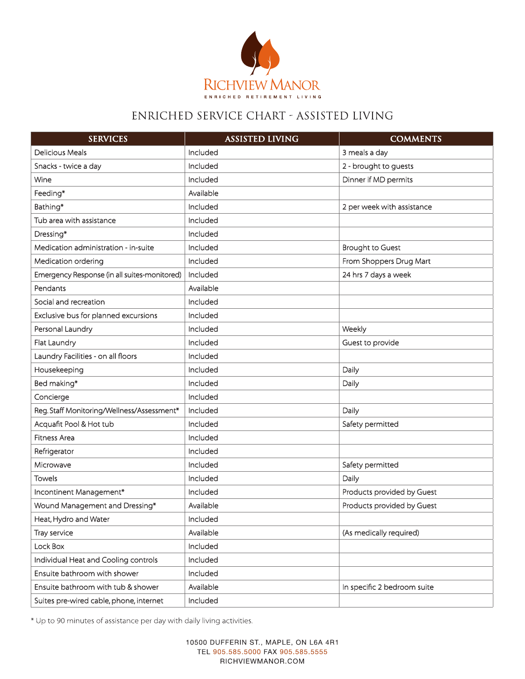

## ENRICHED SERVICE CHART - ASSISTED LIVING

| <b>SERVICES</b>                              | <b>ASSISTED LIVING</b> | <b>COMMENTS</b>             |
|----------------------------------------------|------------------------|-----------------------------|
| <b>Delicious Meals</b>                       | Included               | 3 meals a day               |
| Snacks - twice a day                         | Included               | 2 - brought to guests       |
| Wine                                         | Included               | Dinner if MD permits        |
| Feeding*                                     | Available              |                             |
| Bathing*                                     | Included               | 2 per week with assistance  |
| Tub area with assistance                     | Included               |                             |
| Dressing*                                    | Included               |                             |
| Medication administration - in-suite         | Included               | <b>Brought to Guest</b>     |
| Medication ordering                          | Included               | From Shoppers Drug Mart     |
| Emergency Response (in all suites-monitored) | Included               | 24 hrs 7 days a week        |
| Pendants                                     | Available              |                             |
| Social and recreation                        | Included               |                             |
| Exclusive bus for planned excursions         | Included               |                             |
| Personal Laundry                             | Included               | Weekly                      |
| Flat Laundry                                 | Included               | Guest to provide            |
| Laundry Facilities - on all floors           | Included               |                             |
| Housekeeping                                 | Included               | Daily                       |
| Bed making*                                  | Included               | Daily                       |
| Concierge                                    | Included               |                             |
| Reg. Staff Monitoring/Wellness/Assessment*   | Included               | Daily                       |
| Acquafit Pool & Hot tub                      | Included               | Safety permitted            |
| Fitness Area                                 | Included               |                             |
| Refrigerator                                 | Included               |                             |
| Microwave                                    | Included               | Safety permitted            |
| Towels                                       | Included               | Daily                       |
| Incontinent Management*                      | Included               | Products provided by Guest  |
| Wound Management and Dressing*               | Available              | Products provided by Guest  |
| Heat, Hydro and Water                        | Included               |                             |
| Tray service                                 | Available              | (As medically required)     |
| Lock Box                                     | Included               |                             |
| Individual Heat and Cooling controls         | Included               |                             |
| Ensuite bathroom with shower                 | Included               |                             |
| Ensuite bathroom with tub & shower           | Available              | In specific 2 bedroom suite |
| Suites pre-wired cable, phone, internet      | Included               |                             |

\* Up to 90 minutes of assistance per day with daily living activities.